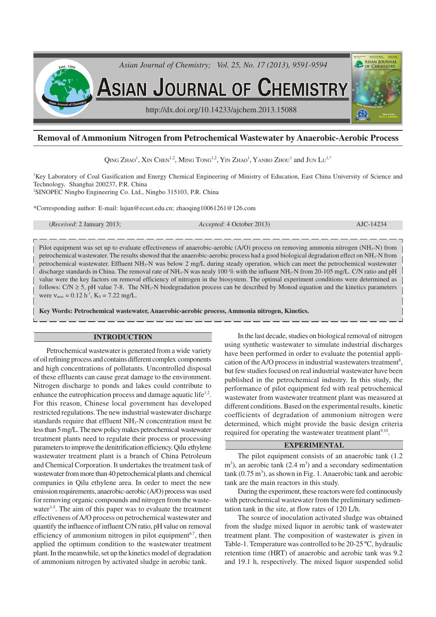

# **Removal of Ammonium Nitrogen from Petrochemical Wastewater by Anaerobic-Aerobic Process**

Qing Zhao<sup>1</sup>, Xin Chen<sup>1,2</sup>, Ming Tong<sup>1,2</sup>, Yin Zhao<sup>1</sup>, Yanbo Zhou<sup>1</sup> and Jun Lu<sup>1,\*</sup>

<sup>1</sup>Key Laboratory of Coal Gasification and Energy Chemical Engineering of Ministry of Education, East China University of Science and Technology, Shanghai 200237, P.R. China <sup>2</sup>SINOPEC Ningbo Engineering Co. Ltd., Ningbo 315103, P.R. China

\*Corresponding author: E-mail: lujun@ecust.edu.cn; zhaoqing10061261@126.com

(*Received*: 2 January 2013; *Accepted*: 4 October 2013) AJC-14234

Pilot equipment was set up to evaluate effectiveness of anaerobic-aerobic (A/O) process on removing ammonia nitrogen (NH3-N) from petrochemical wastewater. The results showed that the anaerobic-aerobic process had a good biological degradation effect on NH3-N from petrochemical wastewater. Effluent NH<sub>3</sub>-N was below 2 mg/L during steady operation, which can meet the petrochemical wastewater discharge standards in China. The removal rate of NH<sub>3</sub>-N was nealy 100 % with the influent NH<sub>3</sub>-N from 20-105 mg/L. C/N ratio and pH value were the key factors on removal efficiency of nitrogen in the biosystem. The optimal experiment conditions were determined as follows:  $C/N \ge 5$ , pH value 7-8. The NH<sub>3</sub>-N biodegradation process can be described by Monod equation and the kinetics parameters were  $v_{\text{max}} = 0.12 \text{ h}^{-1}$ ,  $K_s = 7.22 \text{ mg/L}$ .

**Key Words: Petrochemical wastewater, Anaerobic-aerobic process, Ammonia nitrogen, Kinetics.**

### **INTRODUCTION**

Petrochemical wastewater is generated from a wide variety of oil refining process and contains different complex components and high concentrations of pollutants. Uncontrolled disposal of these effluents can cause great damage to the environment. Nitrogen discharge to ponds and lakes could contribute to enhance the eutrophication process and damage aquatic life<sup>1,2</sup>. For this reason, Chinese local government has developed restricted regulations. The new industrial wastewater discharge standards require that effluent  $NH<sub>3</sub>-N$  concentration must be less than 5 mg/L. The new policy makes petrochemical wastewater treatment plants need to regulate their process or processing parameters to improve the denitrification efficiency. Qilu ethylene wastewater treatment plant is a branch of China Petroleum and Chemical Corporation. It undertakes the treatment task of wastewater from more than 40 petrochemical plants and chemical companies in Qilu ethylene area. In order to meet the new emission requirements, anaerobic-aerobic (A/O) process was used for removing organic compounds and nitrogen from the wastewater<sup>3-5</sup>. The aim of this paper was to evaluate the treatment effectiveness of A/O process on petrochemical wastewater and quantify the influence of influent C/N ratio, pH value on removal efficiency of ammonium nitrogen in pilot equipment<sup>6,7</sup>, then applied the optimum condition to the wastewater treatment plant. In the meanwhile, set up the kinetics model of degradation of ammonium nitrogen by activated sludge in aerobic tank.

In the last decade, studies on biological removal of nitrogen using synthetic wastewater to simulate industrial discharges have been performed in order to evaluate the potential application of the A/O process in industrial wastewaters treatment<sup>8</sup>, but few studies focused on real industrial wastewater have been published in the petrochemical industry. In this study, the performance of pilot equipment fed with real petrochemical wastewater from wastewater treatment plant was measured at different conditions. Based on the experimental results, kinetic coefficients of degradation of ammonium nitrogen were determined, which might provide the basic design criteria required for operating the wastewater treatment plant<sup>9,10</sup>.

# **EXPERIMENTAL**

The pilot equipment consists of an anaerobic tank (1.2  $\text{m}^3$ ), an aerobic tank (2.4 m<sup>3</sup>) and a secondary sedimentation  $tanh(0.75 \text{ m}^3)$ , as shown in Fig. 1. Anaerobic tank and aerobic tank are the main reactors in this study.

During the experiment, these reactors were fed continuously with petrochemical wastewater from the preliminary sedimentation tank in the site, at flow rates of 120 L/h.

The source of inoculation activated sludge was obtained from the sludge mixed liquor in aerobic tank of wastewater treatment plant. The composition of wastewater is given in Table-1. Temperature was controlled to be 20-25 ºC, hydraulic retention time (HRT) of anaerobic and aerobic tank was 9.2 and 19.1 h, respectively. The mixed liquor suspended solid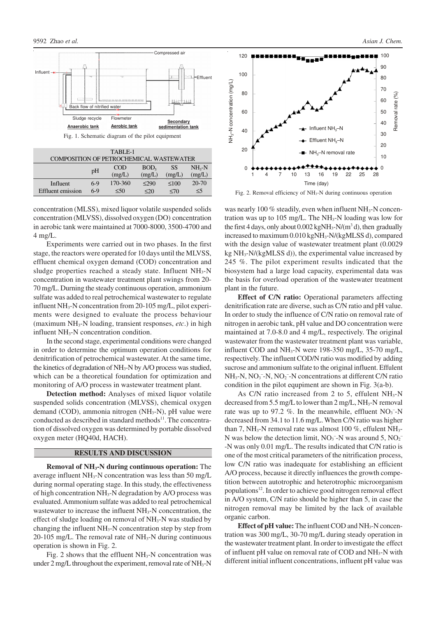

| TABLE-1                                 |       |         |                  |            |           |
|-----------------------------------------|-------|---------|------------------|------------|-----------|
| COMPOSITION OF PETROCHEMICAL WASTEWATER |       |         |                  |            |           |
|                                         | pH    | COD     | BOD <sub>5</sub> | SS         | $NH3-N$   |
|                                         |       | (mg/L)  | (mg/L)           | (mg/L)     | (mg/L)    |
| Influent                                | $6-9$ | 170-360 | $\leq$ 290       | $\leq 100$ | $20 - 70$ |
| <b>Effluent</b> emission                | $6-9$ | $<$ 50  | $\leq 20$        | <70        | $\leq$ 5  |

concentration (MLSS), mixed liquor volatile suspended solids concentration (MLVSS), dissolved oxygen (DO) concentration in aerobic tank were maintained at 7000-8000, 3500-4700 and 4 mg/L.

Experiments were carried out in two phases. In the first stage, the reactors were operated for 10 days until the MLVSS, effluent chemical oxygen demand (COD) concentration and sludge properties reached a steady state. Influent  $NH<sub>3</sub>-N$ concentration in wastewater treatment plant swings from 20- 70 mg/L. Durning the steady continuous operation, ammonium sulfate was added to real petrochemical wastewater to regulate influent  $NH_3$ -N concentration from 20-105 mg/L, pilot experiments were designed to evaluate the process behaviour (maximum NH3-N loading, transient responses, *etc*.) in high influent  $NH<sub>3</sub>-N$  concentration condition.

In the second stage, experimental conditions were changed in order to determine the optimum operation conditions for denitrification of petrochemical wastewater. At the same time, the kinetics of degradation of NH3-N by A/O process was studied, which can be a theoretical foundation for optimization and monitoring of A/O process in wastewater treatment plant.

**Detection method:** Analyses of mixed liquor volatile suspended solids concentration (MLVSS), chemical oxygen demand (COD), ammonia nitrogen (NH3-N), pH value were conducted as described in standard methods<sup>11</sup>. The concentration of dissolved oxygen was determined by portable dissolved oxygen meter (HQ40d, HACH).

## **RESULTS AND DISCUSSION**

**Removal of NH3-N during continuous operation:** The average influent NH3-N concentration was less than 50 mg/L during normal operating stage. In this study, the effectiveness of high concentration NH3-N degradation by A/O process was evaluated. Ammonium sulfate was added to real petrochemical wastewater to increase the influent NH3-N concentration, the effect of sludge loading on removal of NH<sub>3</sub>-N was studied by changing the influent NH3-N concentration step by step from  $20-105$  mg/L. The removal rate of NH<sub>3</sub>-N during continuous operation is shown in Fig. 2.

Fig. 2 shows that the effluent  $NH<sub>3</sub>-N$  concentration was under 2 mg/L throughout the experiment, removal rate of NH3-N



Fig. 2. Removal efficiency of NH3-N during continuous operation

was nearly 100  $\%$  steadily, even when influent NH<sub>3</sub>-N concentration was up to 105 mg/L. The  $NH<sub>3</sub>-N$  loading was low for the first 4 days, only about  $0.002 \text{ kgNH}_3\text{-N/(m}^3\text{ d})$ , then gradually increased to maximum 0.010 kgNH3-N/(kgMLSS d), compared with the design value of wastewater treatment plant (0.0029 kg  $NH<sub>3</sub>-N/(kgMLSS d)$ , the experimental value increased by 245 %. The pilot experiment results indicated that the biosystem had a large load capacity, experimental data was the basis for overload operation of the wastewater treatment plant in the future.

**Effect of C/N ratio:** Operational parameters affecting denitrification rate are diverse, such as C/N ratio and pH value. In order to study the influence of C/N ratio on removal rate of nitrogen in aerobic tank, pH value and DO concentration were maintained at 7.0-8.0 and 4 mg/L, respectively. The original wastewater from the wastewater treatment plant was variable, influent COD and  $NH_3-N$  were 198-350 mg/L, 35-70 mg/L, respectively. The influent COD/N ratio was modified by adding sucrose and ammonium sulfate to the original influent. Effulent  $NH<sub>3</sub>-N$ ,  $NO<sub>3</sub>-N$ ,  $NO<sub>2</sub>-N$  concentrations at different C/N ratio condition in the pilot equpiment are shown in Fig. 3(a-b).

As C/N ratio increased from 2 to 5, effulent  $NH<sub>3</sub>-N$ decreased from 5.5 mg/L to lower than  $2 \text{ mg/L}$ , NH<sub>3</sub>-N removal rate was up to 97.2 %. In the meanwhile, effluent  $NO<sub>3</sub><sup>-</sup>N$ decreased from 34.1 to 11.6 mg/L. When C/N ratio was higher than 7, NH<sub>3</sub>-N removal rate was almost 100 %, effulent NH<sub>3</sub>-N was below the detection limit,  $NO<sub>3</sub>$ <sup>-</sup>N was around 5,  $NO<sub>2</sub>$ <sup>-</sup> -N was only 0.01 mg/L. The results indicated that C/N ratio is one of the most critical parameters of the nitrification process, low C/N ratio was inadequate for establishing an efficient A/O process, because it directly influences the growth competition between autotrophic and heterotrophic microorganism populations<sup>12</sup>. In order to achieve good nitrogen removal effect in A/O system, C/N ratio should be higher than 5, in case the nitrogen removal may be limited by the lack of available organic carbon.

**Effect of pH value:** The influent COD and NH3-N concentration was 300 mg/L, 30-70 mg/L during steady operation in the wastewater treatment plant. In order to investigate the effect of influent pH value on removal rate of COD and NH3-N with different initial influent concentrations, influent pH value was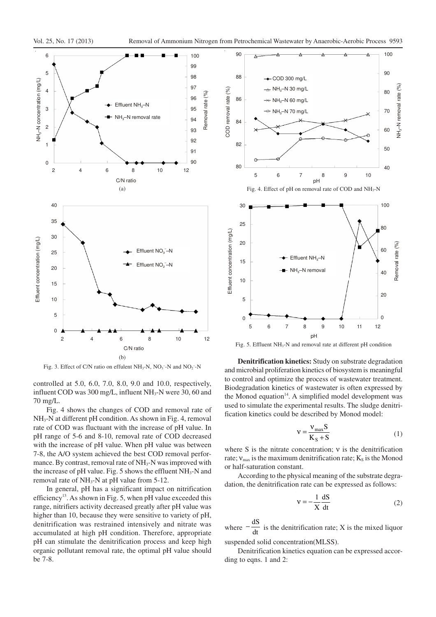

Fig. 3. Effect of C/N ratio on effulent  $NH_3-N$ ,  $NO_3^- - N$  and  $NO_2^- - N$ 

controlled at 5.0, 6.0, 7.0, 8.0, 9.0 and 10.0, respectively, influent COD was  $300 \text{ mg/L}$ , influent NH<sub>3</sub>-N were 30, 60 and 70 mg/L.

Fig. 4 shows the changes of COD and removal rate of NH<sub>3</sub>-N at different pH condition. As shown in Fig. 4, removal rate of COD was fluctuant with the increase of pH value. In pH range of 5-6 and 8-10, removal rate of COD decreased with the increase of pH value. When pH value was between 7-8, the A/O system achieved the best COD removal performance. By contrast, removal rate of  $NH<sub>3</sub>-N$  was improved with the increase of pH value. Fig. 5 shows the effluent  $NH<sub>3</sub>-N$  and removal rate of NH<sub>3</sub>-N at pH value from 5-12.

In general, pH has a significant impact on nitrification efficiency<sup>13</sup>. As shown in Fig. 5, when pH value exceeded this range, nitrifiers activity decreased greatly after pH value was higher than 10, because they were sensitive to variety of pH, denitrification was restrained intensively and nitrate was accumulated at high pH condition. Therefore, appropriate pH can stimulate the denitrification process and keep high organic pollutant removal rate, the optimal pH value should be 7-8.



Fig. 5. Effluent NH3-N and removal rate at different pH condition

**Denitrification kinetics:** Study on substrate degradation and microbial proliferation kinetics of biosystem is meaningful to control and optimize the process of wastewater treatment. Biodegradation kinetics of wastewater is often expressed by the Monod equation<sup>14</sup>. A simplified model development was used to simulate the experimental results. The sludge denitrification kinetics could be described by Monod model:

$$
v = \frac{v_{\text{max}}S}{K_S + S} \tag{1}
$$

where S is the nitrate concentration; ν is the denitrification rate;  $v_{\text{max}}$  is the maximum denitrification rate;  $K_s$  is the Monod or half-saturation constant.

According to the physical meaning of the substrate degradation, the denitrification rate can be expressed as follows:

$$
v = -\frac{1}{X} \frac{dS}{dt}
$$
 (2)

where  $-\frac{dS}{dt}$  is the denitrification rate; X is the mixed liquor

suspended solid concentration(MLSS).

Denitrification kinetics equation can be expressed according to eqns. 1 and 2: